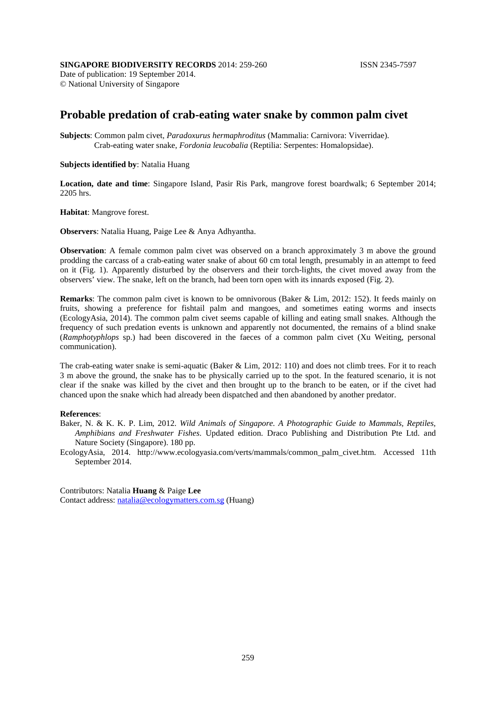## **SINGAPORE BIODIVERSITY RECORDS** 2014: 259-260 **ISSN 2345-7597**

Date of publication: 19 September 2014. © National University of Singapore

# **Probable predation of crab-eating water snake by common palm civet**

**Subjects**: Common palm civet, *Paradoxurus hermaphroditus* (Mammalia: Carnivora: Viverridae). Crab-eating water snake, *Fordonia leucobalia* (Reptilia: Serpentes: Homalopsidae).

### **Subjects identified by**: Natalia Huang

**Location, date and time**: Singapore Island, Pasir Ris Park, mangrove forest boardwalk; 6 September 2014; 2205 hrs.

#### **Habitat**: Mangrove forest.

**Observers**: Natalia Huang, Paige Lee & Anya Adhyantha.

**Observation**: A female common palm civet was observed on a branch approximately 3 m above the ground prodding the carcass of a crab-eating water snake of about 60 cm total length, presumably in an attempt to feed on it (Fig. 1). Apparently disturbed by the observers and their torch-lights, the civet moved away from the observers' view. The snake, left on the branch, had been torn open with its innards exposed (Fig. 2).

**Remarks**: The common palm civet is known to be omnivorous (Baker & Lim, 2012: 152). It feeds mainly on fruits, showing a preference for fishtail palm and mangoes, and sometimes eating worms and insects (EcologyAsia, 2014). The common palm civet seems capable of killing and eating small snakes. Although the frequency of such predation events is unknown and apparently not documented, the remains of a blind snake (*Ramphotyphlops* sp.) had been discovered in the faeces of a common palm civet (Xu Weiting, personal communication).

The crab-eating water snake is semi-aquatic (Baker & Lim, 2012: 110) and does not climb trees. For it to reach 3 m above the ground, the snake has to be physically carried up to the spot. In the featured scenario, it is not clear if the snake was killed by the civet and then brought up to the branch to be eaten, or if the civet had chanced upon the snake which had already been dispatched and then abandoned by another predator.

#### **References**:

- Baker, N. & K. K. P. Lim, 2012. *Wild Animals of Singapore. A Photographic Guide to Mammals, Reptiles, Amphibians and Freshwater Fishes*. Updated edition. Draco Publishing and Distribution Pte Ltd. and Nature Society (Singapore). 180 pp.
- EcologyAsia, 2014. http://www.ecologyasia.com/verts/mammals/common\_palm\_civet.htm. Accessed 11th September 2014.

Contributors: Natalia **Huang** & Paige **Lee** Contact address: [natalia@ecologymatters.com.sg](mailto:natalia.hy@gmail.com) (Huang)